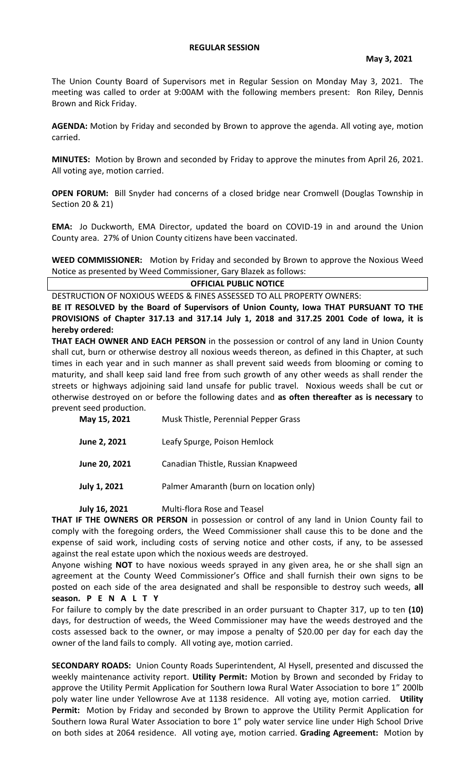The Union County Board of Supervisors met in Regular Session on Monday May 3, 2021. The meeting was called to order at 9:00AM with the following members present: Ron Riley, Dennis Brown and Rick Friday.

**AGENDA:** Motion by Friday and seconded by Brown to approve the agenda. All voting aye, motion carried.

**MINUTES:** Motion by Brown and seconded by Friday to approve the minutes from April 26, 2021. All voting aye, motion carried.

**OPEN FORUM:** Bill Snyder had concerns of a closed bridge near Cromwell (Douglas Township in Section 20 & 21)

**EMA:** Jo Duckworth, EMA Director, updated the board on COVID-19 in and around the Union County area. 27% of Union County citizens have been vaccinated.

**WEED COMMISSIONER:** Motion by Friday and seconded by Brown to approve the Noxious Weed Notice as presented by Weed Commissioner, Gary Blazek as follows:

## **OFFICIAL PUBLIC NOTICE**

DESTRUCTION OF NOXIOUS WEEDS & FINES ASSESSED TO ALL PROPERTY OWNERS: **BE IT RESOLVED by the Board of Supervisors of Union County, Iowa THAT PURSUANT TO THE PROVISIONS of Chapter 317.13 and 317.14 July 1, 2018 and 317.25 2001 Code of Iowa, it is** 

**hereby ordered:**

**THAT EACH OWNER AND EACH PERSON** in the possession or control of any land in Union County shall cut, burn or otherwise destroy all noxious weeds thereon, as defined in this Chapter, at such times in each year and in such manner as shall prevent said weeds from blooming or coming to maturity, and shall keep said land free from such growth of any other weeds as shall render the streets or highways adjoining said land unsafe for public travel. Noxious weeds shall be cut or otherwise destroyed on or before the following dates and **as often thereafter as is necessary** to prevent seed production.

| May 15, 2021  | Musk Thistle, Perennial Pepper Grass    |
|---------------|-----------------------------------------|
| June 2, 2021  | Leafy Spurge, Poison Hemlock            |
| June 20, 2021 | Canadian Thistle, Russian Knapweed      |
| July 1, 2021  | Palmer Amaranth (burn on location only) |

## **July 16, 2021** Multi-flora Rose and Teasel

**THAT IF THE OWNERS OR PERSON** in possession or control of any land in Union County fail to comply with the foregoing orders, the Weed Commissioner shall cause this to be done and the expense of said work, including costs of serving notice and other costs, if any, to be assessed against the real estate upon which the noxious weeds are destroyed.

Anyone wishing **NOT** to have noxious weeds sprayed in any given area, he or she shall sign an agreement at the County Weed Commissioner's Office and shall furnish their own signs to be posted on each side of the area designated and shall be responsible to destroy such weeds, **all season. P E N A L T Y**

For failure to comply by the date prescribed in an order pursuant to Chapter 317, up to ten **(10)** days, for destruction of weeds, the Weed Commissioner may have the weeds destroyed and the costs assessed back to the owner, or may impose a penalty of \$20.00 per day for each day the owner of the land fails to comply. All voting aye, motion carried.

**SECONDARY ROADS:** Union County Roads Superintendent, Al Hysell, presented and discussed the weekly maintenance activity report. **Utility Permit:** Motion by Brown and seconded by Friday to approve the Utility Permit Application for Southern Iowa Rural Water Association to bore 1" 200lb poly water line under Yellowrose Ave at 1138 residence. All voting aye, motion carried. **Utility Permit:** Motion by Friday and seconded by Brown to approve the Utility Permit Application for Southern Iowa Rural Water Association to bore 1" poly water service line under High School Drive on both sides at 2064 residence. All voting aye, motion carried. **Grading Agreement:** Motion by